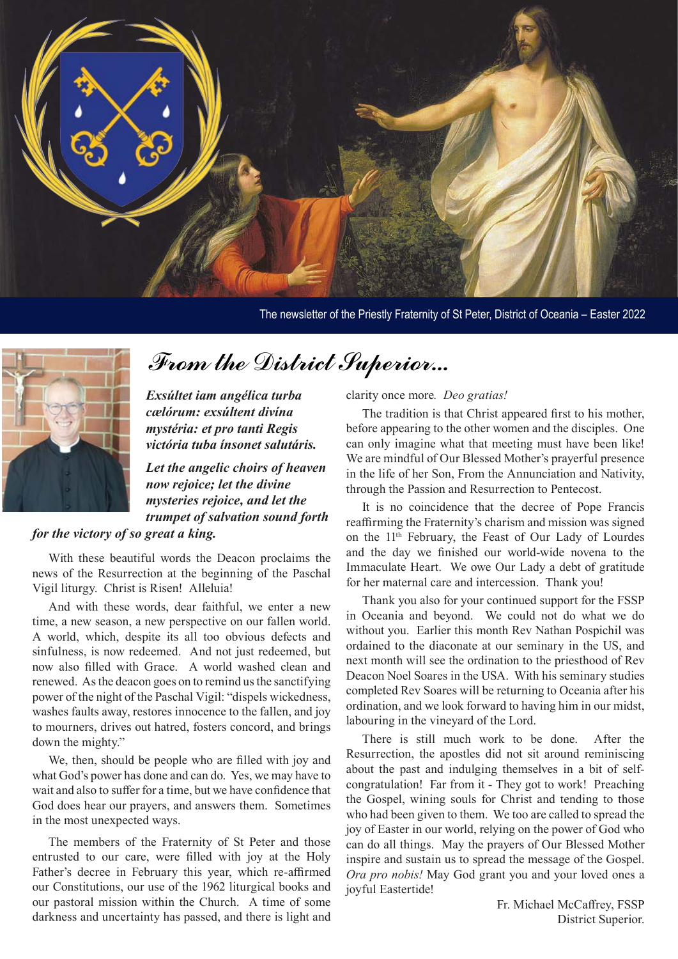

The newsletter of the Priestly Fraternity of St Peter, District of Oceania – Easter 2022



### From the District Superior...

*Exsúltet iam angélica turba cælórum: exsúltent divína mystéria: et pro tanti Regis victória tuba ínsonet salutáris.*

*Let the angelic choirs of heaven now rejoice; let the divine mysteries rejoice, and let the trumpet of salvation sound forth* 

### *for the victory of so great a king.*

With these beautiful words the Deacon proclaims the news of the Resurrection at the beginning of the Paschal Vigil liturgy. Christ is Risen! Alleluia!

And with these words, dear faithful, we enter a new time, a new season, a new perspective on our fallen world. A world, which, despite its all too obvious defects and sinfulness, is now redeemed. And not just redeemed, but now also filled with Grace. A world washed clean and renewed. As the deacon goes on to remind us the sanctifying power of the night of the Paschal Vigil: "dispels wickedness, washes faults away, restores innocence to the fallen, and joy to mourners, drives out hatred, fosters concord, and brings down the mighty."

We, then, should be people who are filled with joy and what God's power has done and can do. Yes, we may have to wait and also to suffer for a time, but we have confidence that God does hear our prayers, and answers them. Sometimes in the most unexpected ways.

The members of the Fraternity of St Peter and those entrusted to our care, were filled with joy at the Holy Father's decree in February this year, which re-affirmed our Constitutions, our use of the 1962 liturgical books and our pastoral mission within the Church. A time of some darkness and uncertainty has passed, and there is light and

clarity once more*. Deo gratias!*

The tradition is that Christ appeared first to his mother, before appearing to the other women and the disciples. One can only imagine what that meeting must have been like! We are mindful of Our Blessed Mother's prayerful presence in the life of her Son, From the Annunciation and Nativity, through the Passion and Resurrection to Pentecost.

It is no coincidence that the decree of Pope Francis reaffirming the Fraternity's charism and mission was signed on the 11th February, the Feast of Our Lady of Lourdes and the day we finished our world-wide novena to the Immaculate Heart. We owe Our Lady a debt of gratitude for her maternal care and intercession. Thank you!

Thank you also for your continued support for the FSSP in Oceania and beyond. We could not do what we do without you. Earlier this month Rev Nathan Pospichil was ordained to the diaconate at our seminary in the US, and next month will see the ordination to the priesthood of Rev Deacon Noel Soares in the USA. With his seminary studies completed Rev Soares will be returning to Oceania after his ordination, and we look forward to having him in our midst, labouring in the vineyard of the Lord.

There is still much work to be done. After the Resurrection, the apostles did not sit around reminiscing about the past and indulging themselves in a bit of selfcongratulation! Far from it - They got to work! Preaching the Gospel, wining souls for Christ and tending to those who had been given to them. We too are called to spread the joy of Easter in our world, relying on the power of God who can do all things. May the prayers of Our Blessed Mother inspire and sustain us to spread the message of the Gospel. *Ora pro nobis!* May God grant you and your loved ones a joyful Eastertide!

> Fr. Michael McCaffrey, FSSP District Superior.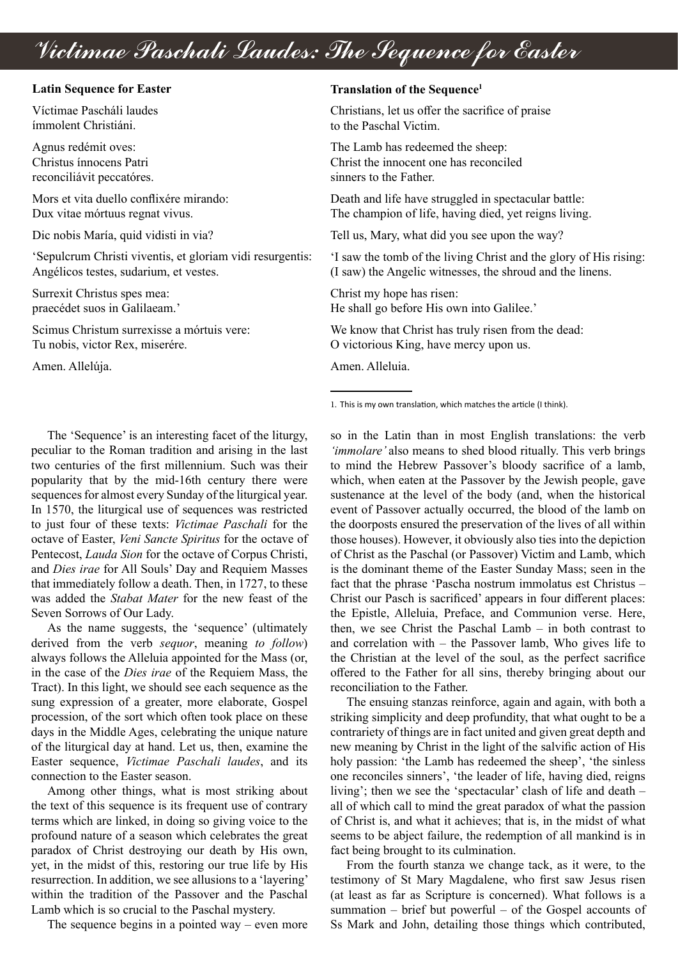# Victimae Paschali Laudes: The Sequence for Easter

#### **Latin Sequence for Easter**

Víctimae Pascháli laudes ímmolent Christiáni.

Agnus redémit oves: Christus ínnocens Patri reconciliávit peccatóres.

Mors et vita duello conflixére mirando: Dux vitae mórtuus regnat vivus.

Dic nobis María, quid vidisti in via?

'Sepulcrum Christi viventis, et gloriam vidi resurgentis: Angélicos testes, sudarium, et vestes.

Surrexit Christus spes mea: praecédet suos in Galilaeam.'

Scimus Christum surrexisse a mórtuis vere: Tu nobis, victor Rex, miserére.

Amen. Allelúja.

#### **Translation of the Sequence1**

Christians, let us offer the sacrifice of praise to the Paschal Victim.

The Lamb has redeemed the sheep: Christ the innocent one has reconciled sinners to the Father.

Death and life have struggled in spectacular battle: The champion of life, having died, yet reigns living.

Tell us, Mary, what did you see upon the way?

'I saw the tomb of the living Christ and the glory of His rising: (I saw) the Angelic witnesses, the shroud and the linens.

Christ my hope has risen: He shall go before His own into Galilee.'

We know that Christ has truly risen from the dead: O victorious King, have mercy upon us.

Amen. Alleluia.

1. This is my own translation, which matches the article (I think).

The 'Sequence' is an interesting facet of the liturgy, peculiar to the Roman tradition and arising in the last two centuries of the first millennium. Such was their popularity that by the mid-16th century there were sequences for almost every Sunday of the liturgical year. In 1570, the liturgical use of sequences was restricted to just four of these texts: *Victimae Paschali* for the octave of Easter, *Veni Sancte Spiritus* for the octave of Pentecost, *Lauda Sion* for the octave of Corpus Christi, and *Dies irae* for All Souls' Day and Requiem Masses that immediately follow a death. Then, in 1727, to these was added the *Stabat Mater* for the new feast of the Seven Sorrows of Our Lady.

As the name suggests, the 'sequence' (ultimately derived from the verb *sequor*, meaning *to follow*) always follows the Alleluia appointed for the Mass (or, in the case of the *Dies irae* of the Requiem Mass, the Tract). In this light, we should see each sequence as the sung expression of a greater, more elaborate, Gospel procession, of the sort which often took place on these days in the Middle Ages, celebrating the unique nature of the liturgical day at hand. Let us, then, examine the Easter sequence, *Victimae Paschali laudes*, and its connection to the Easter season.

Among other things, what is most striking about the text of this sequence is its frequent use of contrary terms which are linked, in doing so giving voice to the profound nature of a season which celebrates the great paradox of Christ destroying our death by His own, yet, in the midst of this, restoring our true life by His resurrection. In addition, we see allusions to a 'layering' within the tradition of the Passover and the Paschal Lamb which is so crucial to the Paschal mystery.

The sequence begins in a pointed way – even more

so in the Latin than in most English translations: the verb *'immolare'* also means to shed blood ritually. This verb brings to mind the Hebrew Passover's bloody sacrifice of a lamb, which, when eaten at the Passover by the Jewish people, gave sustenance at the level of the body (and, when the historical event of Passover actually occurred, the blood of the lamb on the doorposts ensured the preservation of the lives of all within those houses). However, it obviously also ties into the depiction of Christ as the Paschal (or Passover) Victim and Lamb, which is the dominant theme of the Easter Sunday Mass; seen in the fact that the phrase 'Pascha nostrum immolatus est Christus – Christ our Pasch is sacrificed' appears in four different places: the Epistle, Alleluia, Preface, and Communion verse. Here, then, we see Christ the Paschal Lamb – in both contrast to and correlation with – the Passover lamb, Who gives life to the Christian at the level of the soul, as the perfect sacrifice offered to the Father for all sins, thereby bringing about our reconciliation to the Father.

The ensuing stanzas reinforce, again and again, with both a striking simplicity and deep profundity, that what ought to be a contrariety of things are in fact united and given great depth and new meaning by Christ in the light of the salvific action of His holy passion: 'the Lamb has redeemed the sheep', 'the sinless one reconciles sinners', 'the leader of life, having died, reigns living'; then we see the 'spectacular' clash of life and death – all of which call to mind the great paradox of what the passion of Christ is, and what it achieves; that is, in the midst of what seems to be abject failure, the redemption of all mankind is in fact being brought to its culmination.

From the fourth stanza we change tack, as it were, to the testimony of St Mary Magdalene, who first saw Jesus risen (at least as far as Scripture is concerned). What follows is a summation – brief but powerful – of the Gospel accounts of Ss Mark and John, detailing those things which contributed,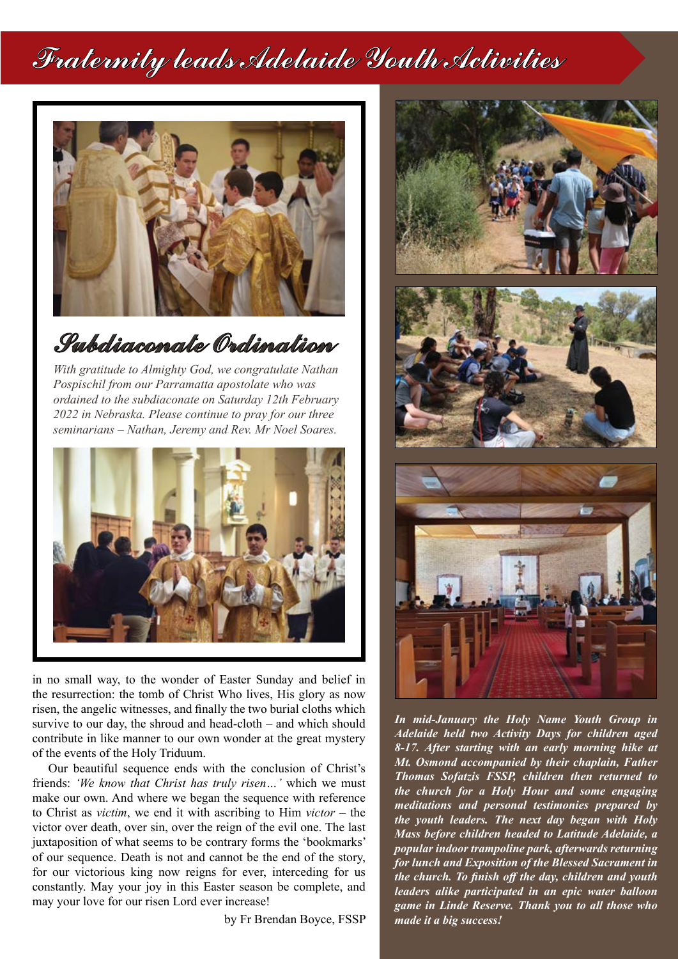# Fraternity leads Adelaide Youth Activities



Subdiaconate Ordination

*With gratitude to Almighty God, we congratulate Nathan Pospischil from our Parramatta apostolate who was ordained to the subdiaconate on Saturday 12th February 2022 in Nebraska. Please continue to pray for our three seminarians – Nathan, Jeremy and Rev. Mr Noel Soares.*



in no small way, to the wonder of Easter Sunday and belief in the resurrection: the tomb of Christ Who lives, His glory as now risen, the angelic witnesses, and finally the two burial cloths which survive to our day, the shroud and head-cloth – and which should contribute in like manner to our own wonder at the great mystery of the events of the Holy Triduum.

Our beautiful sequence ends with the conclusion of Christ's friends: *'We know that Christ has truly risen…'* which we must make our own. And where we began the sequence with reference to Christ as *victim*, we end it with ascribing to Him *victor* – the victor over death, over sin, over the reign of the evil one. The last juxtaposition of what seems to be contrary forms the 'bookmarks' of our sequence. Death is not and cannot be the end of the story, for our victorious king now reigns for ever, interceding for us constantly. May your joy in this Easter season be complete, and may your love for our risen Lord ever increase!

by Fr Brendan Boyce, FSSP



*In mid-January the Holy Name Youth Group in Adelaide held two Activity Days for children aged 8-17. After starting with an early morning hike at Mt. Osmond accompanied by their chaplain, Father Thomas Sofatzis FSSP, children then returned to the church for a Holy Hour and some engaging meditations and personal testimonies prepared by the youth leaders. The next day began with Holy Mass before children headed to Latitude Adelaide, a popular indoor trampoline park, afterwards returning for lunch and Exposition of the Blessed Sacrament in the church. To finish off the day, children and youth leaders alike participated in an epic water balloon game in Linde Reserve. Thank you to all those who made it a big success!*